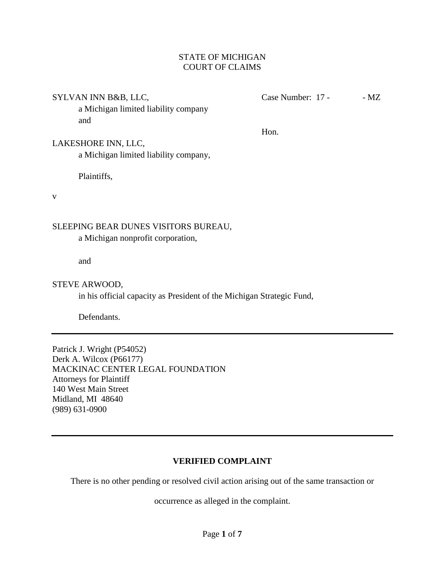## STATE OF MICHIGAN COURT OF CLAIMS

SYLVAN INN B&B, LLC, Case Number: 17 - - MZ

a Michigan limited liability company and

Hon.

## LAKESHORE INN, LLC,

a Michigan limited liability company,

Plaintiffs,

v

## SLEEPING BEAR DUNES VISITORS BUREAU,

a Michigan nonprofit corporation,

and

## STEVE ARWOOD,

in his official capacity as President of the Michigan Strategic Fund,

Defendants.

Patrick J. Wright (P54052) Derk A. Wilcox (P66177) MACKINAC CENTER LEGAL FOUNDATION Attorneys for Plaintiff 140 West Main Street Midland, MI 48640 (989) 631-0900

# **VERIFIED COMPLAINT**

There is no other pending or resolved civil action arising out of the same transaction or

occurrence as alleged in the complaint.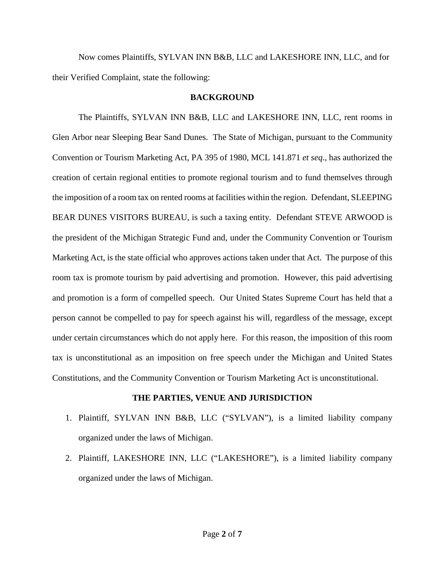Now comes Plaintiffs, SYLVAN INN B&B, LLC and LAKESHORE INN, LLC, and for their Verified Complaint, state the following:

### **BACKGROUND**

The Plaintiffs, SYLVAN INN B&B, LLC and LAKESHORE INN, LLC, rent rooms in Glen Arbor near Sleeping Bear Sand Dunes. The State of Michigan, pursuant to the Community Convention or Tourism Marketing Act, PA 395 of 1980, MCL 141.871 *et seq*., has authorized the creation of certain regional entities to promote regional tourism and to fund themselves through the imposition of a room tax on rented rooms at facilities within the region. Defendant, SLEEPING BEAR DUNES VISITORS BUREAU, is such a taxing entity. Defendant STEVE ARWOOD is the president of the Michigan Strategic Fund and, under the Community Convention or Tourism Marketing Act, is the state official who approves actions taken under that Act. The purpose of this room tax is promote tourism by paid advertising and promotion. However, this paid advertising and promotion is a form of compelled speech. Our United States Supreme Court has held that a person cannot be compelled to pay for speech against his will, regardless of the message, except under certain circumstances which do not apply here. For this reason, the imposition of this room tax is unconstitutional as an imposition on free speech under the Michigan and United States Constitutions, and the Community Convention or Tourism Marketing Act is unconstitutional.

## **THE PARTIES, VENUE AND JURISDICTION**

- 1. Plaintiff, SYLVAN INN B&B, LLC ("SYLVAN"), is a limited liability company organized under the laws of Michigan.
- 2. Plaintiff, LAKESHORE INN, LLC ("LAKESHORE"), is a limited liability company organized under the laws of Michigan.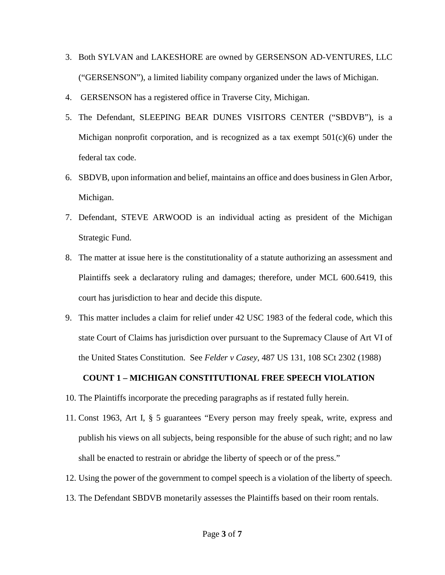- 3. Both SYLVAN and LAKESHORE are owned by GERSENSON AD-VENTURES, LLC ("GERSENSON"), a limited liability company organized under the laws of Michigan.
- 4. GERSENSON has a registered office in Traverse City, Michigan.
- 5. The Defendant, SLEEPING BEAR DUNES VISITORS CENTER ("SBDVB"), is a Michigan nonprofit corporation, and is recognized as a tax exempt 501(c)(6) under the federal tax code.
- 6. SBDVB, upon information and belief, maintains an office and does business in Glen Arbor, Michigan.
- 7. Defendant, STEVE ARWOOD is an individual acting as president of the Michigan Strategic Fund.
- 8. The matter at issue here is the constitutionality of a statute authorizing an assessment and Plaintiffs seek a declaratory ruling and damages; therefore, under MCL 600.6419, this court has jurisdiction to hear and decide this dispute.
- 9. This matter includes a claim for relief under 42 USC 1983 of the federal code, which this state Court of Claims has jurisdiction over pursuant to the Supremacy Clause of Art VI of the United States Constitution. See *Felder v Casey*, 487 US 131, 108 SCt 2302 (1988)

## **COUNT 1 – MICHIGAN CONSTITUTIONAL FREE SPEECH VIOLATION**

- 10. The Plaintiffs incorporate the preceding paragraphs as if restated fully herein.
- 11. Const 1963, Art I, § 5 guarantees "Every person may freely speak, write, express and publish his views on all subjects, being responsible for the abuse of such right; and no law shall be enacted to restrain or abridge the liberty of speech or of the press."
- 12. Using the power of the government to compel speech is a violation of the liberty of speech.
- 13. The Defendant SBDVB monetarily assesses the Plaintiffs based on their room rentals.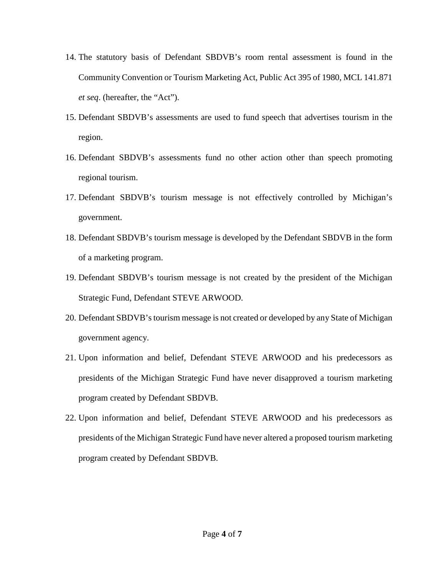- 14. The statutory basis of Defendant SBDVB's room rental assessment is found in the Community Convention or Tourism Marketing Act, Public Act 395 of 1980, MCL 141.871 *et seq*. (hereafter, the "Act").
- 15. Defendant SBDVB's assessments are used to fund speech that advertises tourism in the region.
- 16. Defendant SBDVB's assessments fund no other action other than speech promoting regional tourism.
- 17. Defendant SBDVB's tourism message is not effectively controlled by Michigan's government.
- 18. Defendant SBDVB's tourism message is developed by the Defendant SBDVB in the form of a marketing program.
- 19. Defendant SBDVB's tourism message is not created by the president of the Michigan Strategic Fund, Defendant STEVE ARWOOD.
- 20. Defendant SBDVB's tourism message is not created or developed by any State of Michigan government agency.
- 21. Upon information and belief, Defendant STEVE ARWOOD and his predecessors as presidents of the Michigan Strategic Fund have never disapproved a tourism marketing program created by Defendant SBDVB.
- 22. Upon information and belief, Defendant STEVE ARWOOD and his predecessors as presidents of the Michigan Strategic Fund have never altered a proposed tourism marketing program created by Defendant SBDVB.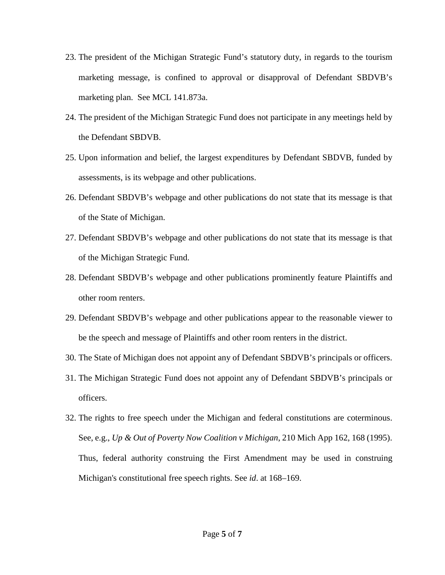- 23. The president of the Michigan Strategic Fund's statutory duty, in regards to the tourism marketing message, is confined to approval or disapproval of Defendant SBDVB's marketing plan. See MCL 141.873a.
- 24. The president of the Michigan Strategic Fund does not participate in any meetings held by the Defendant SBDVB.
- 25. Upon information and belief, the largest expenditures by Defendant SBDVB, funded by assessments, is its webpage and other publications.
- 26. Defendant SBDVB's webpage and other publications do not state that its message is that of the State of Michigan.
- 27. Defendant SBDVB's webpage and other publications do not state that its message is that of the Michigan Strategic Fund.
- 28. Defendant SBDVB's webpage and other publications prominently feature Plaintiffs and other room renters.
- 29. Defendant SBDVB's webpage and other publications appear to the reasonable viewer to be the speech and message of Plaintiffs and other room renters in the district.
- 30. The State of Michigan does not appoint any of Defendant SBDVB's principals or officers.
- 31. The Michigan Strategic Fund does not appoint any of Defendant SBDVB's principals or officers.
- 32. The rights to free speech under the Michigan and federal constitutions are coterminous. See, e.g., *Up & Out of Poverty Now Coalition v Michigan*, 210 Mich App 162, 168 (1995). Thus, federal authority construing the First Amendment may be used in construing Michigan's constitutional free speech rights. See *id*. at 168–169.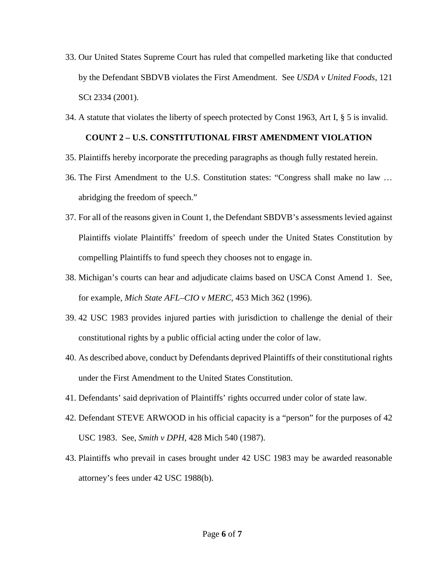- 33. Our United States Supreme Court has ruled that compelled marketing like that conducted by the Defendant SBDVB violates the First Amendment. See *USDA v United Foods*, 121 SCt 2334 (2001).
- 34. A statute that violates the liberty of speech protected by Const 1963, Art I, § 5 is invalid.

## **COUNT 2 – U.S. CONSTITUTIONAL FIRST AMENDMENT VIOLATION**

- 35. Plaintiffs hereby incorporate the preceding paragraphs as though fully restated herein.
- 36. The First Amendment to the U.S. Constitution states: "Congress shall make no law … abridging the freedom of speech."
- 37. For all of the reasons given in Count 1, the Defendant SBDVB's assessments levied against Plaintiffs violate Plaintiffs' freedom of speech under the United States Constitution by compelling Plaintiffs to fund speech they chooses not to engage in.
- 38. Michigan's courts can hear and adjudicate claims based on USCA Const Amend 1. See, for example, *Mich State AFL–CIO v MERC*, 453 Mich 362 (1996).
- 39. 42 USC 1983 provides injured parties with jurisdiction to challenge the denial of their constitutional rights by a public official acting under the color of law.
- 40. As described above, conduct by Defendants deprived Plaintiffs of their constitutional rights under the First Amendment to the United States Constitution.
- 41. Defendants' said deprivation of Plaintiffs' rights occurred under color of state law.
- 42. Defendant STEVE ARWOOD in his official capacity is a "person" for the purposes of 42 USC 1983. See, *Smith v DPH*, 428 Mich 540 (1987).
- 43. Plaintiffs who prevail in cases brought under 42 USC 1983 may be awarded reasonable attorney's fees under 42 USC 1988(b).